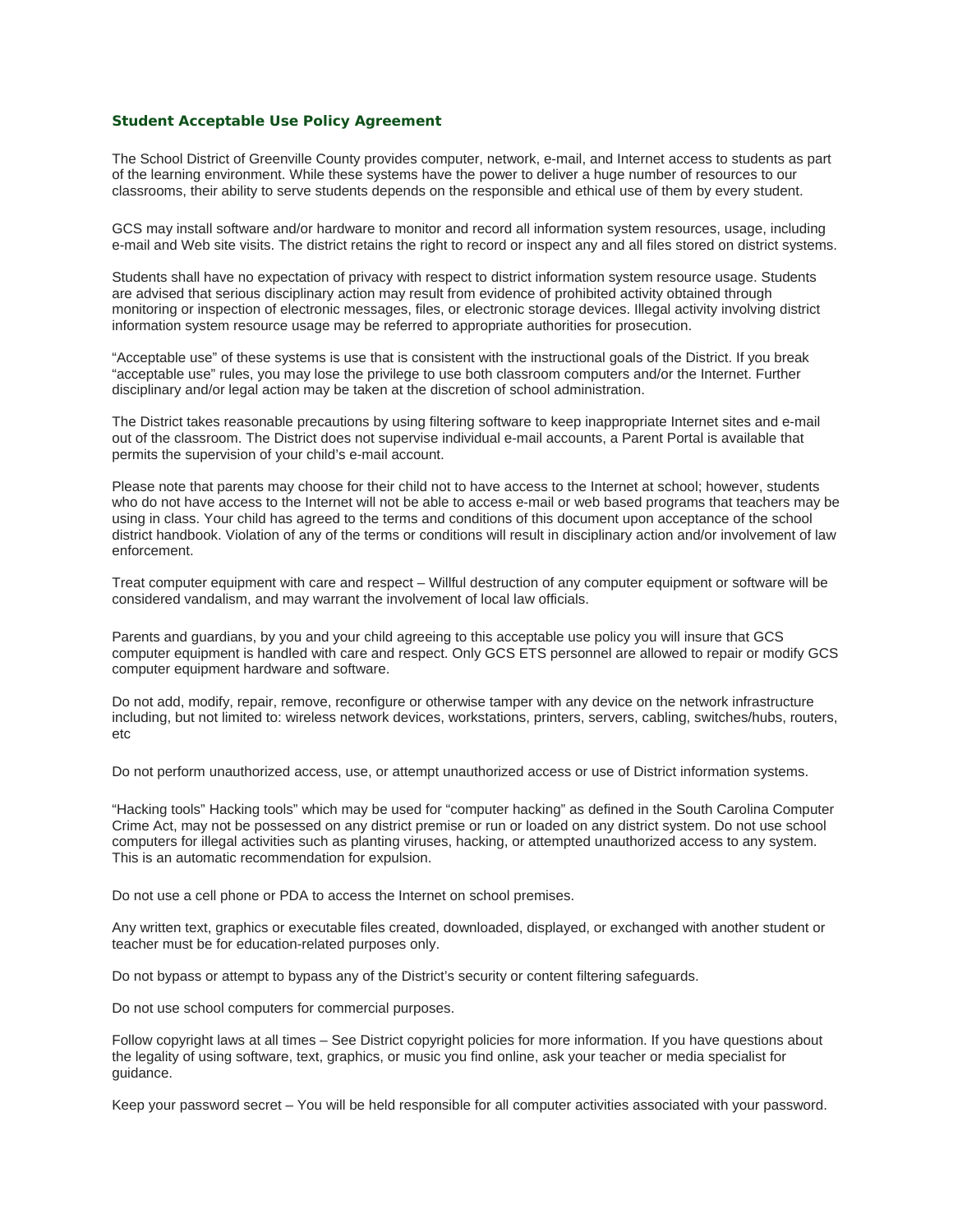### **Student Acceptable Use Policy Agreement**

The School District of Greenville County provides computer, network, e-mail, and Internet access to students as part of the learning environment. While these systems have the power to deliver a huge number of resources to our classrooms, their ability to serve students depends on the responsible and ethical use of them by every student.

GCS may install software and/or hardware to monitor and record all information system resources, usage, including e-mail and Web site visits. The district retains the right to record or inspect any and all files stored on district systems.

Students shall have no expectation of privacy with respect to district information system resource usage. Students are advised that serious disciplinary action may result from evidence of prohibited activity obtained through monitoring or inspection of electronic messages, files, or electronic storage devices. Illegal activity involving district information system resource usage may be referred to appropriate authorities for prosecution.

"Acceptable use" of these systems is use that is consistent with the instructional goals of the District. If you break "acceptable use" rules, you may lose the privilege to use both classroom computers and/or the Internet. Further disciplinary and/or legal action may be taken at the discretion of school administration.

The District takes reasonable precautions by using filtering software to keep inappropriate Internet sites and e-mail out of the classroom. The District does not supervise individual e-mail accounts, a Parent Portal is available that permits the supervision of your child's e-mail account.

Please note that parents may choose for their child not to have access to the Internet at school; however, students who do not have access to the Internet will not be able to access e-mail or web based programs that teachers may be using in class. Your child has agreed to the terms and conditions of this document upon acceptance of the school district handbook. Violation of any of the terms or conditions will result in disciplinary action and/or involvement of law enforcement.

Treat computer equipment with care and respect – Willful destruction of any computer equipment or software will be considered vandalism, and may warrant the involvement of local law officials.

Parents and guardians, by you and your child agreeing to this acceptable use policy you will insure that GCS computer equipment is handled with care and respect. Only GCS ETS personnel are allowed to repair or modify GCS computer equipment hardware and software.

Do not add, modify, repair, remove, reconfigure or otherwise tamper with any device on the network infrastructure including, but not limited to: wireless network devices, workstations, printers, servers, cabling, switches/hubs, routers, etc

Do not perform unauthorized access, use, or attempt unauthorized access or use of District information systems.

"Hacking tools" Hacking tools" which may be used for "computer hacking" as defined in the South Carolina Computer Crime Act, may not be possessed on any district premise or run or loaded on any district system. Do not use school computers for illegal activities such as planting viruses, hacking, or attempted unauthorized access to any system. This is an automatic recommendation for expulsion.

Do not use a cell phone or PDA to access the Internet on school premises.

Any written text, graphics or executable files created, downloaded, displayed, or exchanged with another student or teacher must be for education-related purposes only.

Do not bypass or attempt to bypass any of the District's security or content filtering safeguards.

Do not use school computers for commercial purposes.

Follow copyright laws at all times – See District copyright policies for more information. If you have questions about the legality of using software, text, graphics, or music you find online, ask your teacher or media specialist for guidance.

Keep your password secret – You will be held responsible for all computer activities associated with your password.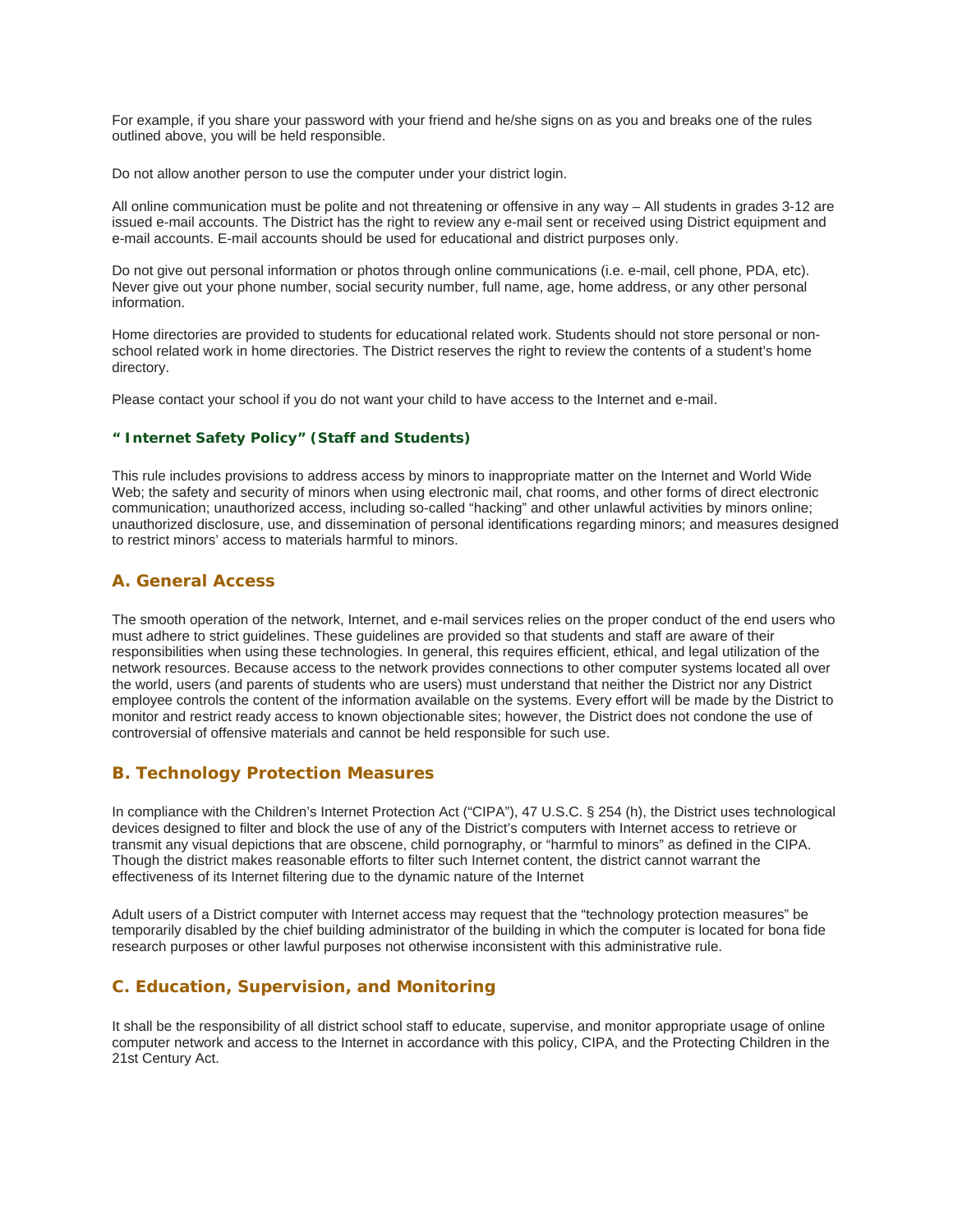For example, if you share your password with your friend and he/she signs on as you and breaks one of the rules outlined above, you will be held responsible.

Do not allow another person to use the computer under your district login.

All online communication must be polite and not threatening or offensive in any way – All students in grades 3-12 are issued e-mail accounts. The District has the right to review any e-mail sent or received using District equipment and e-mail accounts. E-mail accounts should be used for educational and district purposes only.

Do not give out personal information or photos through online communications (i.e. e-mail, cell phone, PDA, etc). Never give out your phone number, social security number, full name, age, home address, or any other personal information.

Home directories are provided to students for educational related work. Students should not store personal or nonschool related work in home directories. The District reserves the right to review the contents of a student's home directory.

Please contact your school if you do not want your child to have access to the Internet and e-mail.

### **" Internet Safety Policy" (Staff and Students)**

This rule includes provisions to address access by minors to inappropriate matter on the Internet and World Wide Web; the safety and security of minors when using electronic mail, chat rooms, and other forms of direct electronic communication; unauthorized access, including so-called "hacking" and other unlawful activities by minors online; unauthorized disclosure, use, and dissemination of personal identifications regarding minors; and measures designed to restrict minors' access to materials harmful to minors.

# **A. General Access**

The smooth operation of the network, Internet, and e-mail services relies on the proper conduct of the end users who must adhere to strict guidelines. These guidelines are provided so that students and staff are aware of their responsibilities when using these technologies. In general, this requires efficient, ethical, and legal utilization of the network resources. Because access to the network provides connections to other computer systems located all over the world, users (and parents of students who are users) must understand that neither the District nor any District employee controls the content of the information available on the systems. Every effort will be made by the District to monitor and restrict ready access to known objectionable sites; however, the District does not condone the use of controversial of offensive materials and cannot be held responsible for such use.

# **B. Technology Protection Measures**

In compliance with the Children's Internet Protection Act ("CIPA"), 47 U.S.C. § 254 (h), the District uses technological devices designed to filter and block the use of any of the District's computers with Internet access to retrieve or transmit any visual depictions that are obscene, child pornography, or "harmful to minors" as defined in the CIPA. Though the district makes reasonable efforts to filter such Internet content, the district cannot warrant the effectiveness of its Internet filtering due to the dynamic nature of the Internet

Adult users of a District computer with Internet access may request that the "technology protection measures" be temporarily disabled by the chief building administrator of the building in which the computer is located for bona fide research purposes or other lawful purposes not otherwise inconsistent with this administrative rule.

# **C. Education, Supervision, and Monitoring**

It shall be the responsibility of all district school staff to educate, supervise, and monitor appropriate usage of online computer network and access to the Internet in accordance with this policy, CIPA, and the Protecting Children in the 21st Century Act.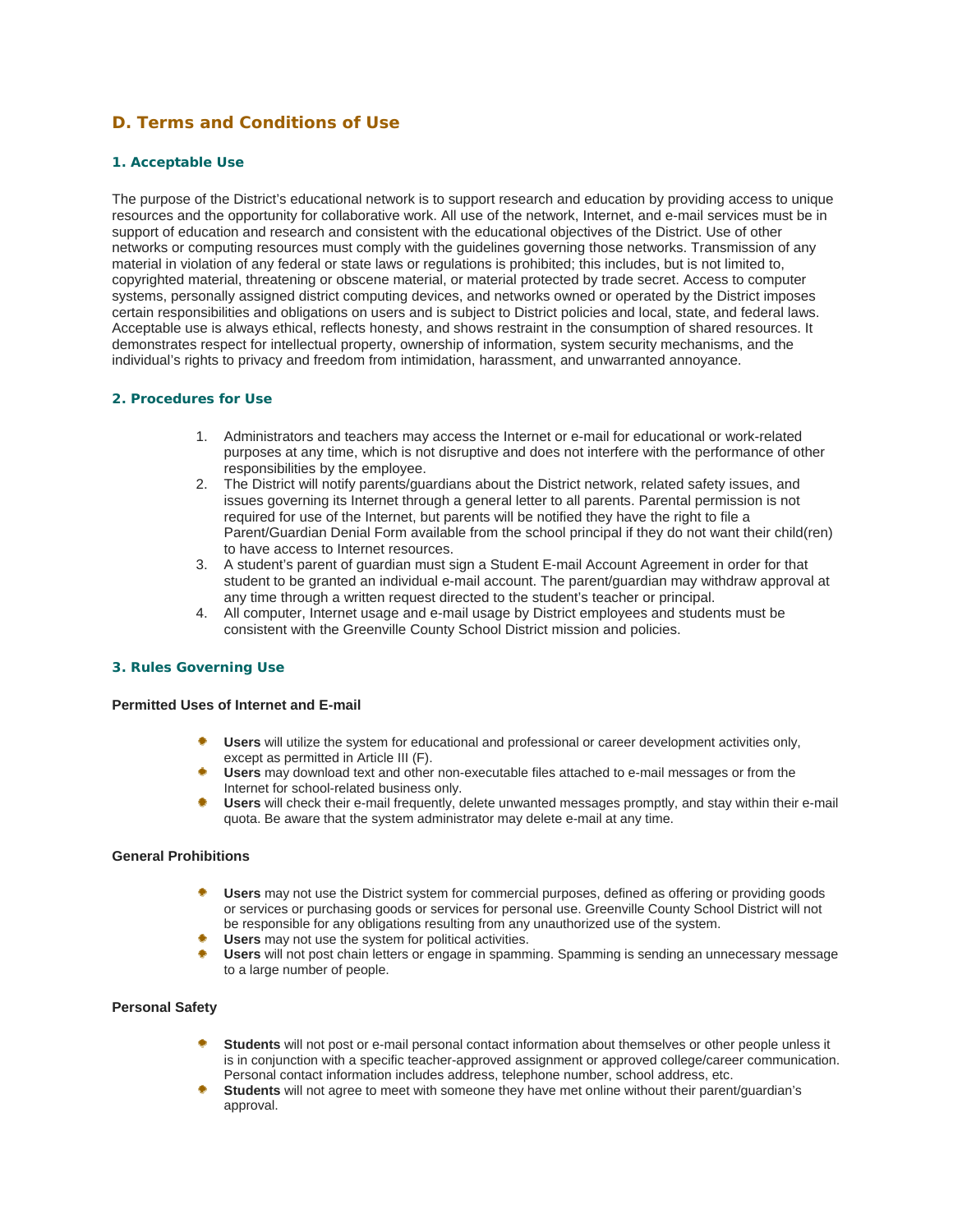# **D. Terms and Conditions of Use**

### **1. Acceptable Use**

The purpose of the District's educational network is to support research and education by providing access to unique resources and the opportunity for collaborative work. All use of the network, Internet, and e-mail services must be in support of education and research and consistent with the educational objectives of the District. Use of other networks or computing resources must comply with the guidelines governing those networks. Transmission of any material in violation of any federal or state laws or regulations is prohibited; this includes, but is not limited to, copyrighted material, threatening or obscene material, or material protected by trade secret. Access to computer systems, personally assigned district computing devices, and networks owned or operated by the District imposes certain responsibilities and obligations on users and is subject to District policies and local, state, and federal laws. Acceptable use is always ethical, reflects honesty, and shows restraint in the consumption of shared resources. It demonstrates respect for intellectual property, ownership of information, system security mechanisms, and the individual's rights to privacy and freedom from intimidation, harassment, and unwarranted annoyance.

### **2. Procedures for Use**

- 1. Administrators and teachers may access the Internet or e-mail for educational or work-related purposes at any time, which is not disruptive and does not interfere with the performance of other responsibilities by the employee.
- 2. The District will notify parents/guardians about the District network, related safety issues, and issues governing its Internet through a general letter to all parents. Parental permission is not required for use of the Internet, but parents will be notified they have the right to file a Parent/Guardian Denial Form available from the school principal if they do not want their child(ren) to have access to Internet resources.
- 3. A student's parent of guardian must sign a Student E-mail Account Agreement in order for that student to be granted an individual e-mail account. The parent/guardian may withdraw approval at any time through a written request directed to the student's teacher or principal.
- 4. All computer, Internet usage and e-mail usage by District employees and students must be consistent with the Greenville County School District mission and policies.

### **3. Rules Governing Use**

#### **Permitted Uses of Internet and E-mail**

- **Users** will utilize the system for educational and professional or career development activities only, except as permitted in Article III (F).
- **Users** may download text and other non-executable files attached to e-mail messages or from the Internet for school-related business only.
- **Users** will check their e-mail frequently, delete unwanted messages promptly, and stay within their e-mail quota. Be aware that the system administrator may delete e-mail at any time.

### **General Prohibitions**

- **Users** may not use the District system for commercial purposes, defined as offering or providing goods or services or purchasing goods or services for personal use. Greenville County School District will not be responsible for any obligations resulting from any unauthorized use of the system.
- **Users** may not use the system for political activities.
- **Users** will not post chain letters or engage in spamming. Spamming is sending an unnecessary message to a large number of people.

### **Personal Safety**

- **Students** will not post or e-mail personal contact information about themselves or other people unless it is in conjunction with a specific teacher-approved assignment or approved college/career communication. Personal contact information includes address, telephone number, school address, etc.
- **Students** will not agree to meet with someone they have met online without their parent/guardian's approval.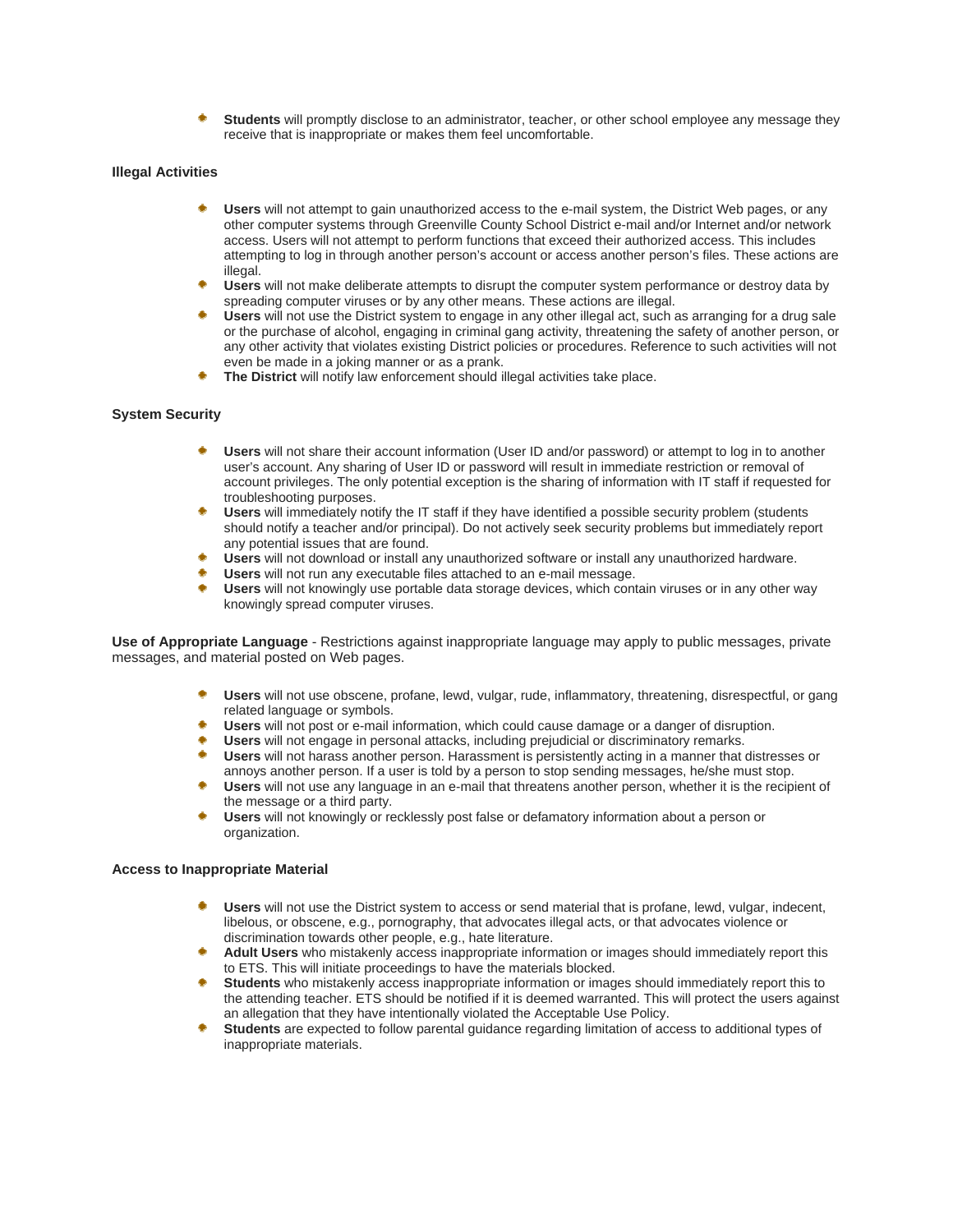**Students** will promptly disclose to an administrator, teacher, or other school employee any message they receive that is inappropriate or makes them feel uncomfortable.

#### **Illegal Activities**

- **Users** will not attempt to gain unauthorized access to the e-mail system, the District Web pages, or any other computer systems through Greenville County School District e-mail and/or Internet and/or network access. Users will not attempt to perform functions that exceed their authorized access. This includes attempting to log in through another person's account or access another person's files. These actions are illegal.
- **Users** will not make deliberate attempts to disrupt the computer system performance or destroy data by spreading computer viruses or by any other means. These actions are illegal.
- **Users** will not use the District system to engage in any other illegal act, such as arranging for a drug sale or the purchase of alcohol, engaging in criminal gang activity, threatening the safety of another person, or any other activity that violates existing District policies or procedures. Reference to such activities will not even be made in a joking manner or as a prank.
- **The District** will notify law enforcement should illegal activities take place.

#### **System Security**

- **Users** will not share their account information (User ID and/or password) or attempt to log in to another user's account. Any sharing of User ID or password will result in immediate restriction or removal of account privileges. The only potential exception is the sharing of information with IT staff if requested for troubleshooting purposes.
- **Users** will immediately notify the IT staff if they have identified a possible security problem (students should notify a teacher and/or principal). Do not actively seek security problems but immediately report any potential issues that are found.
- **Users** will not download or install any unauthorized software or install any unauthorized hardware.
- **Users** will not run any executable files attached to an e-mail message.
- **Users** will not knowingly use portable data storage devices, which contain viruses or in any other way knowingly spread computer viruses.

**Use of Appropriate Language** - Restrictions against inappropriate language may apply to public messages, private messages, and material posted on Web pages.

- **Users** will not use obscene, profane, lewd, vulgar, rude, inflammatory, threatening, disrespectful, or gang related language or symbols.
- **Users** will not post or e-mail information, which could cause damage or a danger of disruption.
- **Users** will not engage in personal attacks, including prejudicial or discriminatory remarks.
- ۰ **Users** will not harass another person. Harassment is persistently acting in a manner that distresses or annoys another person. If a user is told by a person to stop sending messages, he/she must stop.
- **Users** will not use any language in an e-mail that threatens another person, whether it is the recipient of the message or a third party.
- **Users** will not knowingly or recklessly post false or defamatory information about a person or organization.

#### **Access to Inappropriate Material**

- **Users** will not use the District system to access or send material that is profane, lewd, vulgar, indecent, libelous, or obscene, e.g., pornography, that advocates illegal acts, or that advocates violence or discrimination towards other people, e.g., hate literature.
- **Adult Users** who mistakenly access inappropriate information or images should immediately report this to ETS. This will initiate proceedings to have the materials blocked.
- **Students** who mistakenly access inappropriate information or images should immediately report this to the attending teacher. ETS should be notified if it is deemed warranted. This will protect the users against an allegation that they have intentionally violated the Acceptable Use Policy.
- **Students** are expected to follow parental guidance regarding limitation of access to additional types of inappropriate materials.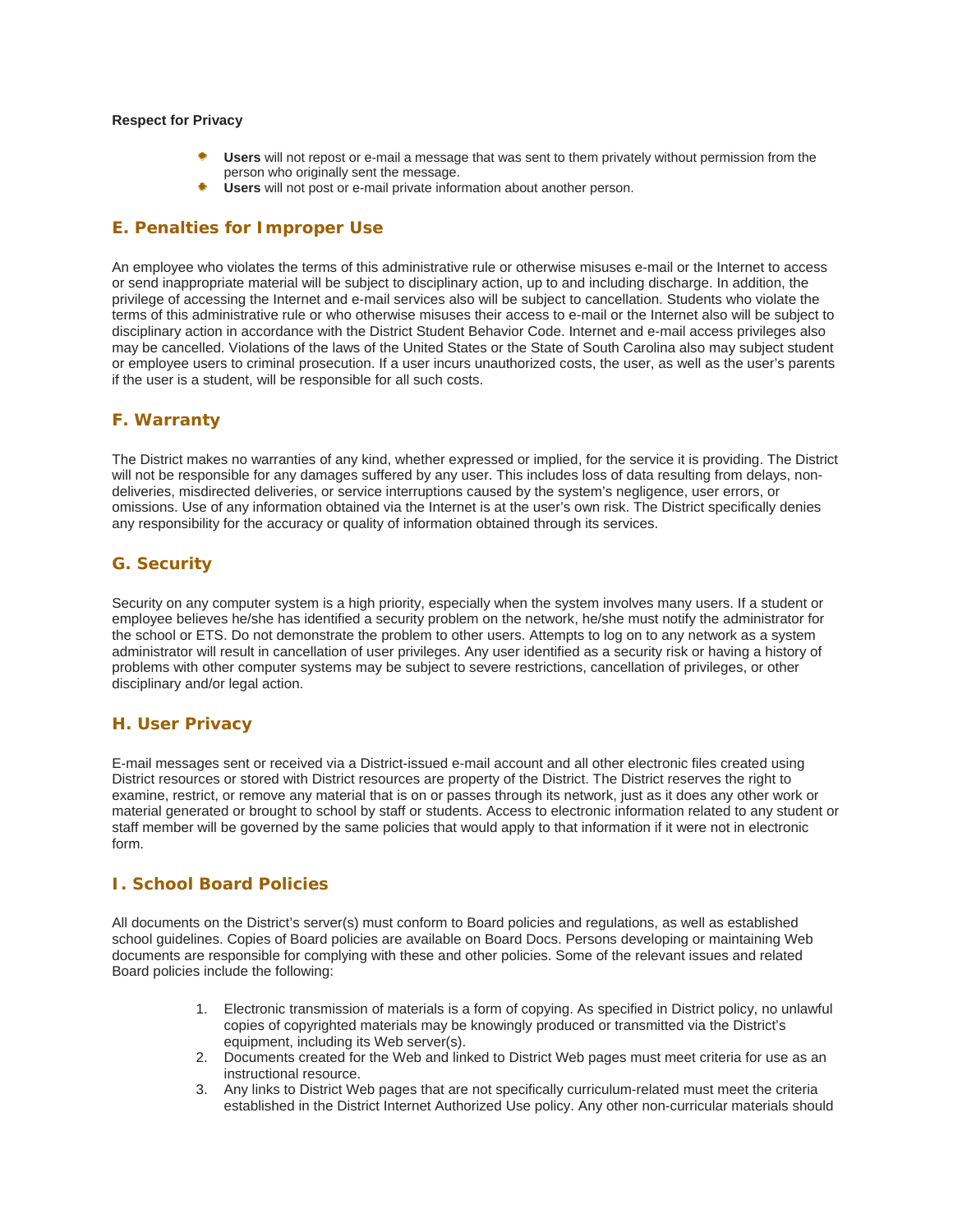#### **Respect for Privacy**

- **Users** will not repost or e-mail a message that was sent to them privately without permission from the person who originally sent the message.
- **Users** will not post or e-mail private information about another person.

# **E. Penalties for Improper Use**

An employee who violates the terms of this administrative rule or otherwise misuses e-mail or the Internet to access or send inappropriate material will be subject to disciplinary action, up to and including discharge. In addition, the privilege of accessing the Internet and e-mail services also will be subject to cancellation. Students who violate the terms of this administrative rule or who otherwise misuses their access to e-mail or the Internet also will be subject to disciplinary action in accordance with the District Student Behavior Code. Internet and e-mail access privileges also may be cancelled. Violations of the laws of the United States or the State of South Carolina also may subject student or employee users to criminal prosecution. If a user incurs unauthorized costs, the user, as well as the user's parents if the user is a student, will be responsible for all such costs.

# **F. Warranty**

The District makes no warranties of any kind, whether expressed or implied, for the service it is providing. The District will not be responsible for any damages suffered by any user. This includes loss of data resulting from delays, nondeliveries, misdirected deliveries, or service interruptions caused by the system's negligence, user errors, or omissions. Use of any information obtained via the Internet is at the user's own risk. The District specifically denies any responsibility for the accuracy or quality of information obtained through its services.

# **G. Security**

Security on any computer system is a high priority, especially when the system involves many users. If a student or employee believes he/she has identified a security problem on the network, he/she must notify the administrator for the school or ETS. Do not demonstrate the problem to other users. Attempts to log on to any network as a system administrator will result in cancellation of user privileges. Any user identified as a security risk or having a history of problems with other computer systems may be subject to severe restrictions, cancellation of privileges, or other disciplinary and/or legal action.

# **H. User Privacy**

E-mail messages sent or received via a District-issued e-mail account and all other electronic files created using District resources or stored with District resources are property of the District. The District reserves the right to examine, restrict, or remove any material that is on or passes through its network, just as it does any other work or material generated or brought to school by staff or students. Access to electronic information related to any student or staff member will be governed by the same policies that would apply to that information if it were not in electronic form.

# **I. School Board Policies**

All documents on the District's server(s) must conform to Board policies and regulations, as well as established school guidelines. Copies of Board policies are available on Board Docs. Persons developing or maintaining Web documents are responsible for complying with these and other policies. Some of the relevant issues and related Board policies include the following:

- 1. Electronic transmission of materials is a form of copying. As specified in District policy, no unlawful copies of copyrighted materials may be knowingly produced or transmitted via the District's equipment, including its Web server(s).
- 2. Documents created for the Web and linked to District Web pages must meet criteria for use as an instructional resource.
- 3. Any links to District Web pages that are not specifically curriculum-related must meet the criteria established in the District Internet Authorized Use policy. Any other non-curricular materials should